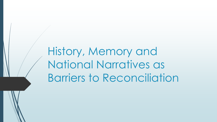History, Memory and National Narratives as Barriers to Reconciliation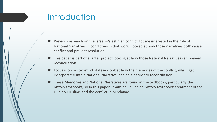#### **Introduction**

- Previous research on the Israeli-Palestinian conflict got me interested in the role of National Narratives in conflict---- in that work I looked at how those narratives both cause conflict and prevent resolution.
- This paper is part of a larger project looking at how those National Narratives can prevent reconciliation.
- Focus is on post-conflict states--- look at how the memories of the conflict, which get incorporated into a National Narrative, can be a barrier to reconciliation.
- These Memories and National Narratives are found in the textbooks, particularly the history textbooks, so in this paper I examine Philippine history textbooks' treatment of the Filipino Muslims and the conflict in Mindanao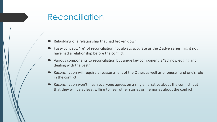### **Reconciliation**

- Rebuilding of a relationship that had broken down.
- Fuzzy concept, "re" of reconciliation not always accurate as the 2 adversaries might not have had a relationship before the conflict.
- Various components to reconciliation but argue key component is "acknowledging and dealing with the past"
- Reconciliation will require a reassessment of the Other, as well as of oneself and one's role in the conflict
- Reconciliation won't mean everyone agrees on a single narrative about the conflict, but that they will be at least willing to hear other stories or memories about the conflict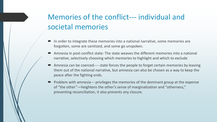# Memories of the conflict--- individual and societal memories

- In order to integrate these memories into a national narrative, some memories are forgotten, some are sanitized, and some go unspoken.
- Amnesia in post-conflict state: The state weaves the different memories into a national narrative, selectively choosing which memories to highlight and which to exclude
- Amnesia can be coerced---- state forces the people to forget certain memories by leaving them out of the national narrative, but amnesia can also be chosen as a way to keep the peace after the fighting ends.
- Problem with amnesia--- privileges the memories of the dominant group at the expense of "the other"—heightens the other's sense of marginalization and "otherness," preventing reconciliation, it also prevents any closure.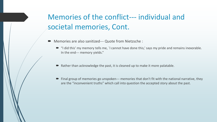# Memories of the conflict--- individual and societal memories, Cont.

- Memories are also sanitized--- Quote from Nietzsche :
	- "I did this' my memory tells me, `I cannot have done this,' says my pride and remains inexorable. In the end--- memory yields."
	- $\blacksquare$  Rather than acknowledge the past, it is cleaned up to make it more palatable.
	- Final group of memories go unspoken--- memories that don't fit with the national narrative, they are the "inconvenient truths" which call into question the accepted story about the past.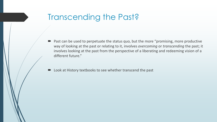# Transcending the Past?

■ Past can be used to perpetuate the status quo, but the more "promising, more productive way of looking at the past or relating to it, involves *overcoming* or *transcending* the past; it involves looking at the past from the perspective of a liberating and redeeming vision of a different future."

Look at History textbooks to see whether transcend the past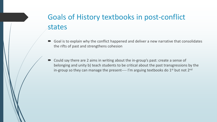# Goals of History textbooks in post-conflict states

- Goal is to explain why the conflict happened and deliver a new narrative that consolidates the rifts of past and strengthens cohesion
- Could say there are 2 aims in writing about the in-group's past: create a sense of belonging and unity b) teach students to be critical about the past transgressions by the in-group so they can manage the present---- I'm arguing textbooks do  $1<sup>st</sup>$  but not  $2<sup>nd</sup>$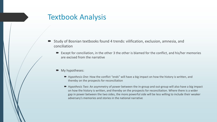#### Textbook Analysis

- Study of Bosnian textbooks found 4 trends: vilification, exclusion, amnesia, and conciliation
	- Except for conciliation, in the other 3 the other is blamed for the conflict, and his/her memories are excised from the narrative
	- My hypotheses:
		- *Hypothesis One:* How the conflict "ends" will have a big impact on how the history is written, and thereby on the prospects for reconciliation
		- *Hypothesis Two*: An asymmetry of power between the in-group and out-group will also have a big impact on how the history is written, and thereby on the prospects for reconciliation. Where there is a wider gap in power between the two sides, the more powerful side will be less willing to include their weaker adversary's memories and stories in the national narrative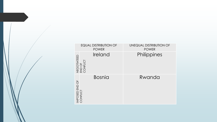| <b>EQUAL DISTRIBUTION OF</b><br><b>POWER</b> | <b>UNEQUAL DISTRIBUTION OF</b><br><b>POWER</b> |  |
|----------------------------------------------|------------------------------------------------|--|
| Ireland<br>NEGOTIATEED<br>END OF<br>CONFLICT | Philippines                                    |  |
| <b>Bosnia</b><br>IMPOSED END OF<br>CONFLICT  | Rwanda                                         |  |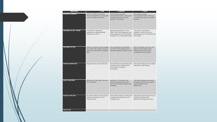| <b>INDICATOR</b>                | 1:LOW                                                                                                                  | 2: MEDIUM                                                                                                                                   | 3: HIGH                                                                                                                           |
|---------------------------------|------------------------------------------------------------------------------------------------------------------------|---------------------------------------------------------------------------------------------------------------------------------------------|-----------------------------------------------------------------------------------------------------------------------------------|
| <b>HISTORICAL MEMORY</b>        | Little or no effort to examine<br>"inconvenient truths," manuscript<br>omits or sanitizes the history.                 | Some effort to examine<br>"inconvenient truths," manuscript<br>includes some but not other<br>aspects of the history.                       | Manuscript includes<br>"inconvenient truths" and does<br>not attempt to censor or sanitize<br>the past.                           |
| <b>TREATMENT OF THE "OTHER"</b> | "The Other" is depicted<br>negatively or stereotypically,<br>blamed for conflict                                       | Mixed representation of "The<br>Other" with some negativity and<br>stereotyping but also some effort<br>to present in a more positive light | "The Other" is presented<br>positively, without the use of<br>stereotypes and is not blamed for<br>the conflict.                  |
| <b>TREATMENT OF SELF</b>        | Little or no effort to acknowledge<br>own role in the conflict, and own<br>side always presented in positive<br>light. | Some willingness to recognize<br>own role in the conflict and to<br>examine negative actions in past                                        | Effort to reassess own role in the<br>origins of the conflict and to<br>examine past actions that<br>contributed to the conflict. |
| <b>MULTIPLE NARRATIVES</b>      | Single narrative used to tell story                                                                                    | Some effort to include alternative<br>narrative but it is minimal and<br>inconsistent throughout<br>manuscript.                             | Manuscript makes use of multiple<br>narratives to tell the story                                                                  |
| <b>EQUAL TREATMENT</b>          | Sections on "The Other" are rare<br>or non-existent                                                                    | Sections on "The Other" are<br>found throughout the text but<br>tend to be shorter and given less<br>emphasis                               | "The Other" figures prominently<br>throughout the text and is given<br>equal treatment and<br>significance.                       |
| <b>USAGE OF THE PAST</b>        | No effort made to use the past to<br>explain the present or try to<br>change future                                    | Some effort made to use the past<br>to explain the present or try to<br>change future                                                       | Manuscript uses the past to try to<br>explain the present and<br>potentially change the future.                                   |
| Total $(X/18)$                  |                                                                                                                        |                                                                                                                                             |                                                                                                                                   |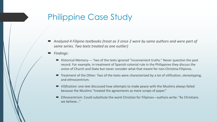## Philippine Case Study

- *Analyzed 4 Filipino textbooks (treat as 3 since 2 were by same authors and were part of same series. Two texts treated as one outlier)*
- *Findings:*
	- Historical Memory---- Two of the texts ignored "inconvenient truths." Never question the past record. For example, in treatment of Spanish colonial rule in the Philippines they discuss the union of Church and State but never consider what that meant for non-Christina Filipinos.
	- Treatment of the Other: Two of the texts were characterized by a lot of vilification, stereotyping, and ethnocentrism.
	- *Vilification*: one text discussed how attempts to make peace with the Muslims always failed because the Muslims "treated the agreements as mere scraps of paper."
	- *Ethnocentrism*: Could substitute the word Christian for Filipinos—authors write: "As Christians we believe…"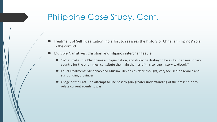### Philippine Case Study, Cont.

- Treatment of Self: Idealization, no effort to reassess the history or Christian Filipinos' role in the conflict
- Multiple Narratives: Christian and Filipinos interchangeable:
	- $\blacktriangleright$  "What makes the Philippines a unique nation, and its divine destiny to be a Christian missionary country for the end times, constitute the main themes of this college history textbook."
	- Equal Treatment: Mindanao and Muslim Filipinos as after-thought, very focused on Manila and surrounding provinces
	- Usage of the Past—no attempt to use past to gain greater understanding of the present, or to relate current events to past.